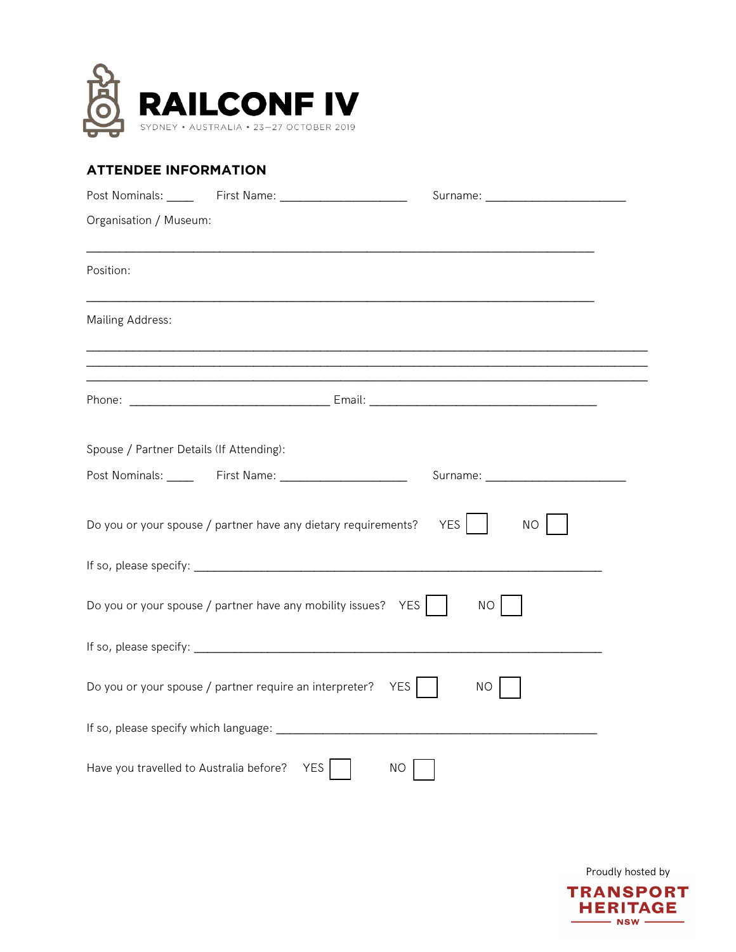

## **ATTENDEE INFORMATION**

| Organisation / Museum:                      |                                                                 |                      |
|---------------------------------------------|-----------------------------------------------------------------|----------------------|
| Position:                                   |                                                                 |                      |
| <b>Mailing Address:</b>                     |                                                                 |                      |
|                                             |                                                                 |                      |
|                                             |                                                                 |                      |
| Spouse / Partner Details (If Attending):    |                                                                 |                      |
|                                             |                                                                 |                      |
|                                             | Do you or your spouse / partner have any dietary requirements?  | YES    <br><b>NO</b> |
|                                             |                                                                 |                      |
|                                             | Do you or your spouse / partner have any mobility issues? $YES$ | NO                   |
|                                             |                                                                 |                      |
|                                             | Do you or your spouse / partner require an interpreter? $YES$   | NO.                  |
|                                             |                                                                 |                      |
| Have you travelled to Australia before? YES | <b>NO</b>                                                       |                      |

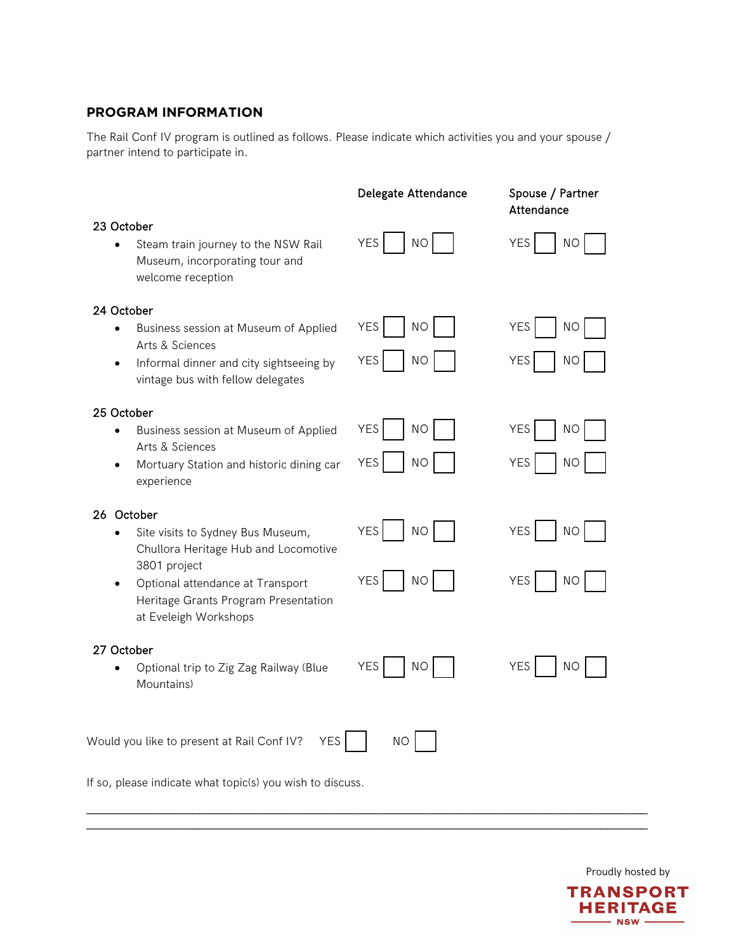## **PROGRAM INFORMATION**

The Rail Conf IV program is outlined as follows. Please indicate which activities you and your spouse / partner intend to participate in.

|                                                                                                                                                                                                                                        | Delegate Attendance                                | Spouse / Partner<br>Attendance                     |  |  |  |
|----------------------------------------------------------------------------------------------------------------------------------------------------------------------------------------------------------------------------------------|----------------------------------------------------|----------------------------------------------------|--|--|--|
| 23 October<br>Steam train journey to the NSW Rail<br>$\bullet$<br>Museum, incorporating tour and<br>welcome reception                                                                                                                  | <b>YES</b><br>NO                                   | YES<br><b>NO</b>                                   |  |  |  |
| 24 October<br>Business session at Museum of Applied<br>$\bullet$<br>Arts & Sciences<br>Informal dinner and city sightseeing by<br>$\bullet$<br>vintage bus with fellow delegates                                                       | <b>YES</b><br><b>NO</b><br>YES<br><b>NO</b>        | <b>YES</b><br><b>NO</b><br><b>YES</b><br><b>NO</b> |  |  |  |
| 25 October<br>Business session at Museum of Applied<br>$\bullet$<br>Arts & Sciences<br>Mortuary Station and historic dining car<br>$\bullet$<br>experience                                                                             | <b>YES</b><br><b>NO</b><br><b>YES</b><br><b>NO</b> | <b>YES</b><br><b>NO</b><br><b>YES</b><br><b>NO</b> |  |  |  |
| 26 October<br>Site visits to Sydney Bus Museum,<br>$\bullet$<br>Chullora Heritage Hub and Locomotive<br>3801 project<br>Optional attendance at Transport<br>$\bullet$<br>Heritage Grants Program Presentation<br>at Eveleigh Workshops | <b>YES</b><br><b>NO</b><br><b>YES</b><br><b>NO</b> | <b>YES</b><br><b>NO</b><br><b>YES</b><br><b>NO</b> |  |  |  |
| 27 October<br>Optional trip to Zig Zag Railway (Blue<br>$\bullet$<br>Mountains)                                                                                                                                                        | <b>YES</b><br><b>NO</b>                            | YES<br><b>NO</b>                                   |  |  |  |
| <b>YES</b><br>Would you like to present at Rail Conf IV?                                                                                                                                                                               | <b>NO</b>                                          |                                                    |  |  |  |
| If so, please indicate what topic(s) you wish to discuss.                                                                                                                                                                              |                                                    |                                                    |  |  |  |

\_\_\_\_\_\_\_\_\_\_\_\_\_\_\_\_\_\_\_\_\_\_\_\_\_\_\_\_\_\_\_\_\_\_\_\_\_\_\_\_\_\_\_\_\_\_\_\_\_\_\_\_\_\_\_\_\_\_\_\_\_\_\_\_\_\_\_\_\_\_\_\_\_\_\_\_\_\_\_\_\_\_\_\_ \_\_\_\_\_\_\_\_\_\_\_\_\_\_\_\_\_\_\_\_\_\_\_\_\_\_\_\_\_\_\_\_\_\_\_\_\_\_\_\_\_\_\_\_\_\_\_\_\_\_\_\_\_\_\_\_\_\_\_\_\_\_\_\_\_\_\_\_\_\_\_\_\_\_\_\_\_\_\_\_\_\_\_\_